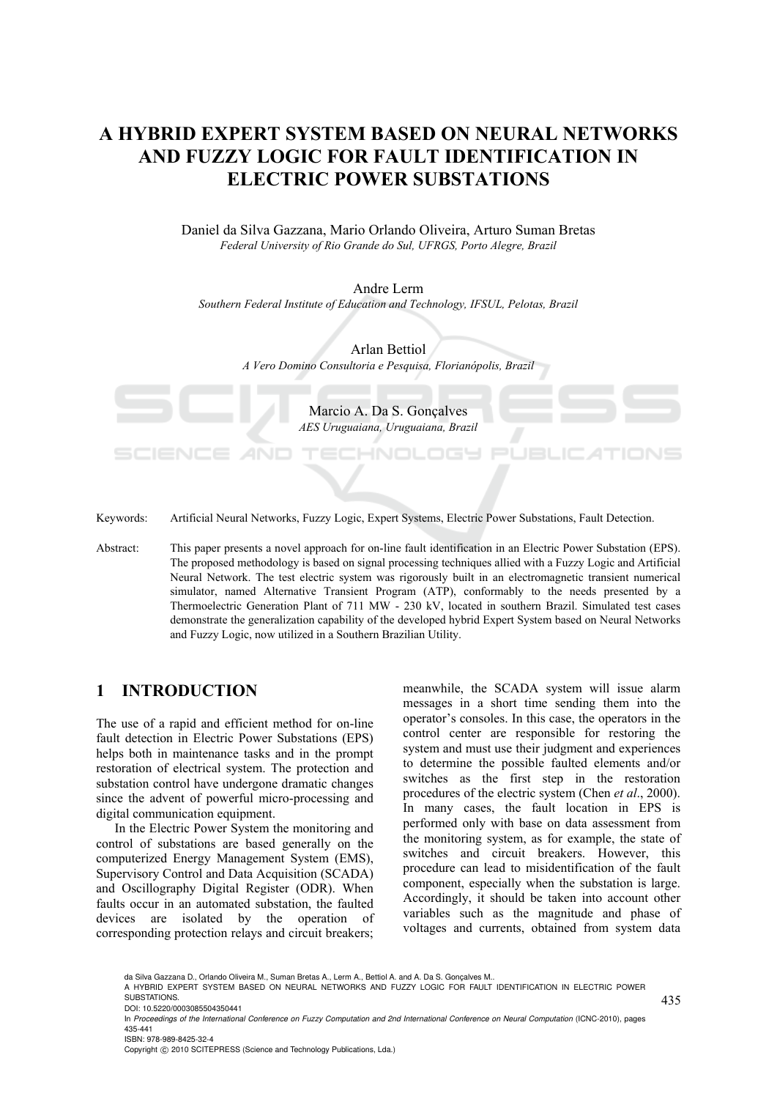## **A HYBRID EXPERT SYSTEM BASED ON NEURAL NETWORKS AND FUZZY LOGIC FOR FAULT IDENTIFICATION IN ELECTRIC POWER SUBSTATIONS**

Daniel da Silva Gazzana, Mario Orlando Oliveira, Arturo Suman Bretas *Federal University of Rio Grande do Sul, UFRGS, Porto Alegre, Brazil* 

Andre Lerm *Southern Federal Institute of Education and Technology, IFSUL, Pelotas, Brazil* 

> Arlan Bettiol *A Vero Domino Consultoria e Pesquisa, Florianópolis, Brazil*

> > Marcio A. Da S. Gonçalves *AES Uruguaiana, Uruguaiana, Brazil*

> > > -NOLOGY

Keywords: Artificial Neural Networks, Fuzzy Logic, Expert Systems, Electric Power Substations, Fault Detection.

Abstract: This paper presents a novel approach for on-line fault identification in an Electric Power Substation (EPS). The proposed methodology is based on signal processing techniques allied with a Fuzzy Logic and Artificial Neural Network. The test electric system was rigorously built in an electromagnetic transient numerical simulator, named Alternative Transient Program (ATP), conformably to the needs presented by a Thermoelectric Generation Plant of 711 MW - 230 kV, located in southern Brazil. Simulated test cases demonstrate the generalization capability of the developed hybrid Expert System based on Neural Networks and Fuzzy Logic, now utilized in a Southern Brazilian Utility.

#### **1 INTRODUCTION**

The use of a rapid and efficient method for on-line fault detection in Electric Power Substations (EPS) helps both in maintenance tasks and in the prompt restoration of electrical system. The protection and substation control have undergone dramatic changes since the advent of powerful micro-processing and digital communication equipment.

AND

In the Electric Power System the monitoring and control of substations are based generally on the computerized Energy Management System (EMS), Supervisory Control and Data Acquisition (SCADA) and Oscillography Digital Register (ODR). When faults occur in an automated substation, the faulted devices are isolated by the operation of corresponding protection relays and circuit breakers;

meanwhile, the SCADA system will issue alarm messages in a short time sending them into the operator's consoles. In this case, the operators in the control center are responsible for restoring the system and must use their judgment and experiences to determine the possible faulted elements and/or switches as the first step in the restoration procedures of the electric system (Chen *et al*., 2000). In many cases, the fault location in EPS is performed only with base on data assessment from the monitoring system, as for example, the state of switches and circuit breakers. However, this procedure can lead to misidentification of the fault component, especially when the substation is large. Accordingly, it should be taken into account other variables such as the magnitude and phase of voltages and currents, obtained from system data

435

A HYBRID EXPERT SYSTEM BASED ON NEURAL NETWORKS AND FUZZY LOGIC FOR FAULT IDENTIFICATION IN ELECTRIC POWER SUBSTATIONS. DOI: 10.5220/0003085504350441

da Silva Gazzana D., Orlando Oliveira M., Suman Bretas A., Lerm A., Bettiol A. and A. Da S. Gonçalves M.

In *Proceedings of the International Conference on Fuzzy Computation and 2nd International Conference on Neural Computation* (ICNC-2010), pages 435-441 ISBN: 978-989-8425-32-4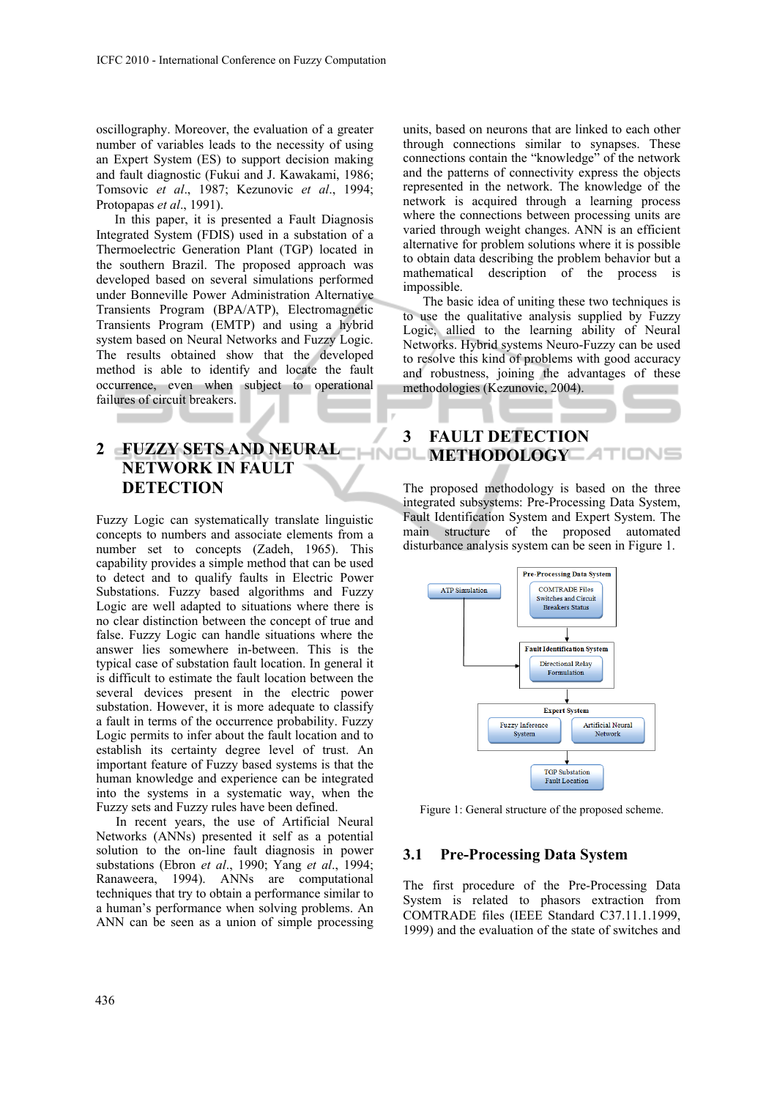oscillography. Moreover, the evaluation of a greater number of variables leads to the necessity of using an Expert System (ES) to support decision making and fault diagnostic (Fukui and J. Kawakami, 1986; Tomsovic *et al*., 1987; Kezunovic *et al*., 1994; Protopapas *et al*., 1991).

In this paper, it is presented a Fault Diagnosis Integrated System (FDIS) used in a substation of a Thermoelectric Generation Plant (TGP) located in the southern Brazil. The proposed approach was developed based on several simulations performed under Bonneville Power Administration Alternative Transients Program (BPA/ATP), Electromagnetic Transients Program (EMTP) and using a hybrid system based on Neural Networks and Fuzzy Logic. The results obtained show that the developed method is able to identify and locate the fault occurrence, even when subject to operational failures of circuit breakers.

## **2** FUZZY SETS AND NEURAL **METHODOLOGY NETWORK IN FAULT DETECTION**

Fuzzy Logic can systematically translate linguistic concepts to numbers and associate elements from a number set to concepts (Zadeh, 1965). This capability provides a simple method that can be used to detect and to qualify faults in Electric Power Substations. Fuzzy based algorithms and Fuzzy Logic are well adapted to situations where there is no clear distinction between the concept of true and false. Fuzzy Logic can handle situations where the answer lies somewhere in-between. This is the typical case of substation fault location. In general it is difficult to estimate the fault location between the several devices present in the electric power substation. However, it is more adequate to classify a fault in terms of the occurrence probability. Fuzzy Logic permits to infer about the fault location and to establish its certainty degree level of trust. An important feature of Fuzzy based systems is that the human knowledge and experience can be integrated into the systems in a systematic way, when the Fuzzy sets and Fuzzy rules have been defined.

In recent years, the use of Artificial Neural Networks (ANNs) presented it self as a potential solution to the on-line fault diagnosis in power substations (Ebron *et al*., 1990; Yang *et al*., 1994; Ranaweera, 1994). ANNs are computational techniques that try to obtain a performance similar to a human's performance when solving problems. An ANN can be seen as a union of simple processing

units, based on neurons that are linked to each other through connections similar to synapses. These connections contain the "knowledge" of the network and the patterns of connectivity express the objects represented in the network. The knowledge of the network is acquired through a learning process where the connections between processing units are varied through weight changes. ANN is an efficient alternative for problem solutions where it is possible to obtain data describing the problem behavior but a mathematical description of the process is impossible.

The basic idea of uniting these two techniques is to use the qualitative analysis supplied by Fuzzy Logic, allied to the learning ability of Neural Networks. Hybrid systems Neuro-Fuzzy can be used to resolve this kind of problems with good accuracy and robustness, joining the advantages of these methodologies (Kezunovic, 2004).

# **3 FAULT DETECTION**

The proposed methodology is based on the three integrated subsystems: Pre-Processing Data System, Fault Identification System and Expert System. The main structure of the proposed automated disturbance analysis system can be seen in Figure 1.



Figure 1: General structure of the proposed scheme.

#### **3.1 Pre-Processing Data System**

The first procedure of the Pre-Processing Data System is related to phasors extraction from COMTRADE files (IEEE Standard C37.11.1.1999, 1999) and the evaluation of the state of switches and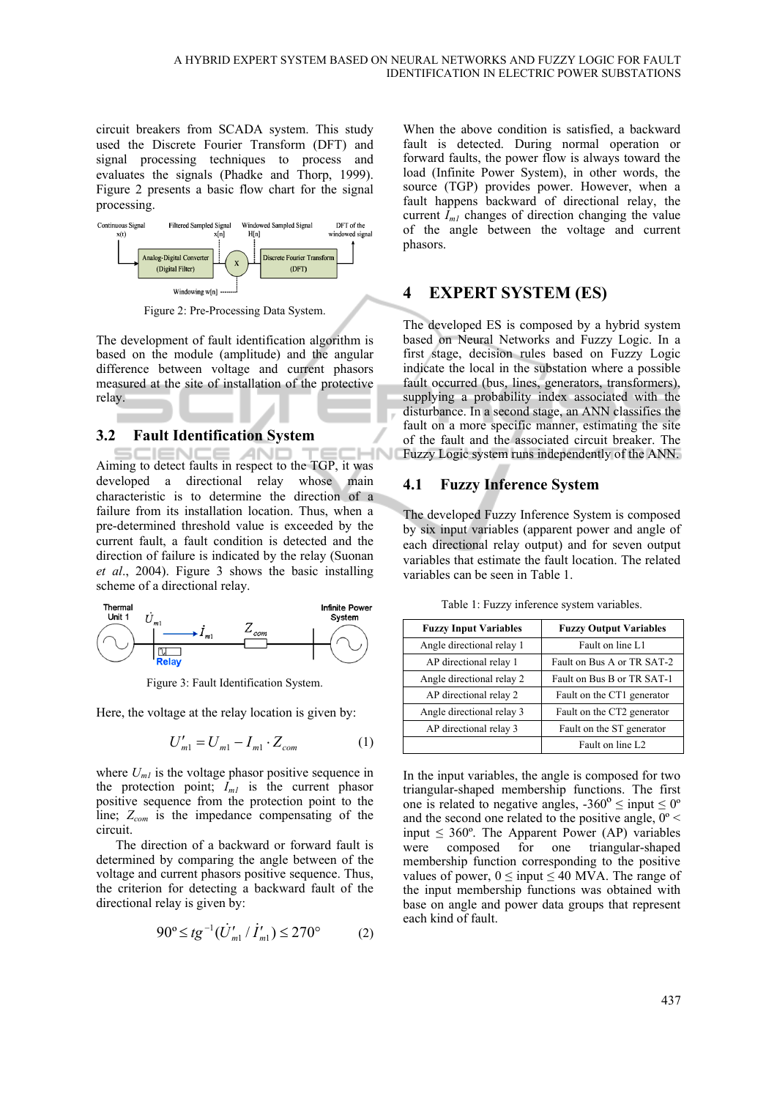circuit breakers from SCADA system. This study used the Discrete Fourier Transform (DFT) and signal processing techniques to process and evaluates the signals (Phadke and Thorp, 1999). Figure 2 presents a basic flow chart for the signal processing.



Figure 2: Pre-Processing Data System.

The development of fault identification algorithm is based on the module (amplitude) and the angular difference between voltage and current phasors measured at the site of installation of the protective relay.

#### **3.2 Fault Identification System**

**SCIENC**  $\sim$ **AND** -10 Aiming to detect faults in respect to the TGP, it was developed a directional relay whose main characteristic is to determine the direction of a failure from its installation location. Thus, when a pre-determined threshold value is exceeded by the current fault, a fault condition is detected and the direction of failure is indicated by the relay (Suonan *et al*., 2004). Figure 3 shows the basic installing scheme of a directional relay.



Figure 3: Fault Identification System.

Here, the voltage at the relay location is given by:

$$
U'_{m1} = U_{m1} - I_{m1} \cdot Z_{com}
$$
 (1)

where  $U_{ml}$  is the voltage phasor positive sequence in the protection point;  $I_{m,l}$  is the current phasor positive sequence from the protection point to the line; *Zcom* is the impedance compensating of the circuit.

The direction of a backward or forward fault is determined by comparing the angle between of the voltage and current phasors positive sequence. Thus, the criterion for detecting a backward fault of the directional relay is given by:

$$
90^{\circ} \leq t g^{-1} (\dot{U}'_{m1} / \dot{I}'_{m1}) \leq 270^{\circ} \tag{2}
$$

When the above condition is satisfied, a backward fault is detected. During normal operation or forward faults, the power flow is always toward the load (Infinite Power System), in other words, the source (TGP) provides power. However, when a fault happens backward of directional relay, the current  $I_{ml}$  changes of direction changing the value of the angle between the voltage and current phasors.

#### **4 EXPERT SYSTEM (ES)**

The developed ES is composed by a hybrid system based on Neural Networks and Fuzzy Logic. In a first stage, decision rules based on Fuzzy Logic indicate the local in the substation where a possible fault occurred (bus, lines, generators, transformers), supplying a probability index associated with the disturbance. In a second stage, an ANN classifies the fault on a more specific manner, estimating the site of the fault and the associated circuit breaker. The Fuzzy Logic system runs independently of the ANN.

#### **4.1 Fuzzy Inference System**

The developed Fuzzy Inference System is composed by six input variables (apparent power and angle of each directional relay output) and for seven output variables that estimate the fault location. The related variables can be seen in Table 1.

| <b>Fuzzy Input Variables</b> | <b>Fuzzy Output Variables</b> |
|------------------------------|-------------------------------|
| Angle directional relay 1    | Fault on line L1              |
| AP directional relay 1       | Fault on Bus A or TR SAT-2    |
| Angle directional relay 2    | Fault on Bus B or TR SAT-1    |
| AP directional relay 2       | Fault on the CT1 generator    |
| Angle directional relay 3    | Fault on the CT2 generator    |
| AP directional relay 3       | Fault on the ST generator     |
|                              | Fault on line L <sub>2</sub>  |

Table 1: Fuzzy inference system variables.

In the input variables, the angle is composed for two triangular-shaped membership functions. The first one is related to negative angles,  $-360^{\circ} \le$  input  $\le 0^{\circ}$ and the second one related to the positive angle,  $0^{\circ}$  < input  $\leq 360^{\circ}$ . The Apparent Power (AP) variables were composed for one triangular-shaped membership function corresponding to the positive values of power,  $0 \leq input \leq 40$  MVA. The range of the input membership functions was obtained with base on angle and power data groups that represent each kind of fault.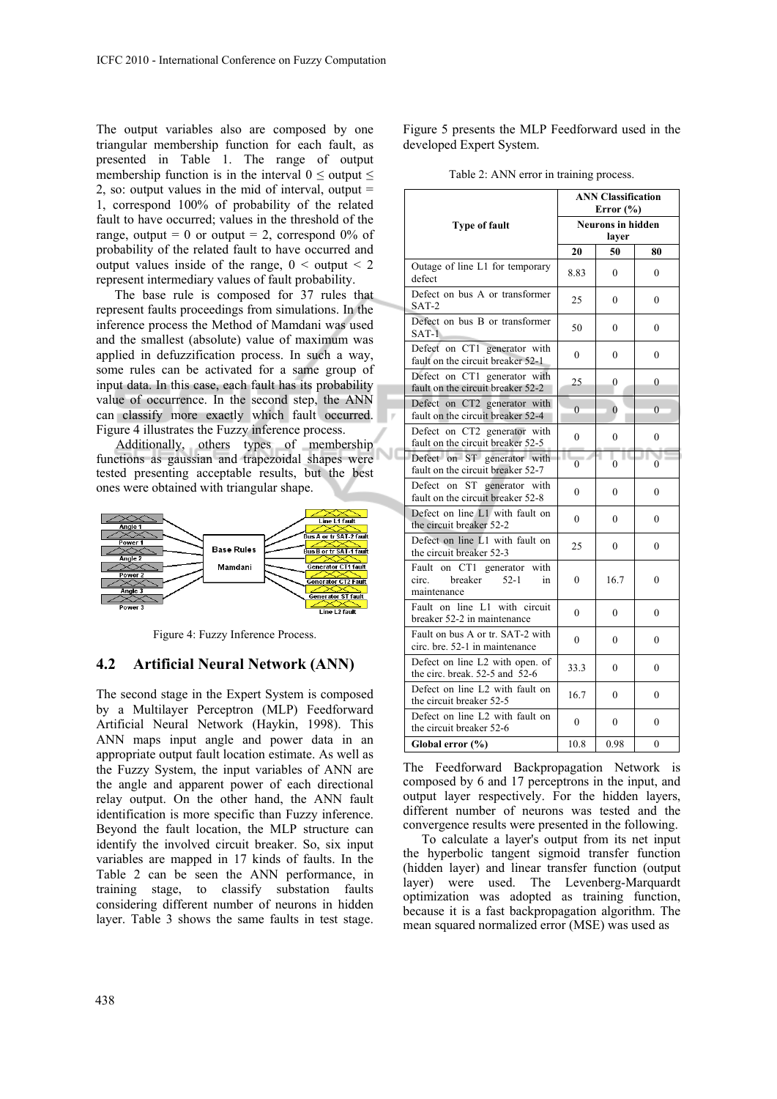The output variables also are composed by one triangular membership function for each fault, as presented in Table 1. The range of output membership function is in the interval  $0 \le$  output  $\le$ 2, so: output values in the mid of interval, output  $=$ 1, correspond 100% of probability of the related fault to have occurred; values in the threshold of the range, output = 0 or output = 2, correspond  $0\%$  of probability of the related fault to have occurred and output values inside of the range,  $0 \leq$  output  $\leq$  2 represent intermediary values of fault probability.

The base rule is composed for 37 rules that represent faults proceedings from simulations. In the inference process the Method of Mamdani was used and the smallest (absolute) value of maximum was applied in defuzzification process. In such a way, some rules can be activated for a same group of input data. In this case, each fault has its probability value of occurrence. In the second step, the ANN can classify more exactly which fault occurred. Figure 4 illustrates the Fuzzy inference process.

Additionally, others types of membership functions as gaussian and trapezoidal shapes were tested presenting acceptable results, but the best ones were obtained with triangular shape.



Figure 4: Fuzzy Inference Process.

#### **4.2 Artificial Neural Network (ANN)**

The second stage in the Expert System is composed by a Multilayer Perceptron (MLP) Feedforward Artificial Neural Network (Haykin, 1998). This ANN maps input angle and power data in an appropriate output fault location estimate. As well as the Fuzzy System, the input variables of ANN are the angle and apparent power of each directional relay output. On the other hand, the ANN fault identification is more specific than Fuzzy inference. Beyond the fault location, the MLP structure can identify the involved circuit breaker. So, six input variables are mapped in 17 kinds of faults. In the Table 2 can be seen the ANN performance, in training stage, to classify substation faults considering different number of neurons in hidden layer. Table 3 shows the same faults in test stage.

Figure 5 presents the MLP Feedforward used in the developed Expert System.

|                                                                                | <b>ANN Classification</b><br>Error $(\% )$ |                       |                  |
|--------------------------------------------------------------------------------|--------------------------------------------|-----------------------|------------------|
| <b>Type of fault</b>                                                           | <b>Neurons</b> in hidden<br>layer          |                       |                  |
|                                                                                | 20                                         | 50                    | 80               |
| Outage of line L1 for temporary<br>defect                                      | 8.83                                       | $\Omega$              | 0                |
| Defect on bus A or transformer<br>$SAT-2$                                      | 25                                         | $\Omega$              | $\Omega$         |
| Defect on bus B or transformer<br>$SAT-1$                                      | 50                                         | $\Omega$              | 0                |
| Defect on CT1 generator with<br>fault on the circuit breaker 52-1              | $\theta$                                   | $\theta$              | $\Omega$         |
| Defect on CT1 generator with<br>fault on the circuit breaker 52-2              | 25                                         | 0                     | $\overline{0}$   |
| Defect on CT2 generator with<br>fault on the circuit breaker 52-4              | $\overline{0}$                             | $\overline{0}$        | $\theta$         |
| Defect on CT2 generator with<br>fault on the circuit breaker 52-5              | $\theta$                                   | $\theta$              | 0                |
| Defect on ST generator with<br>fault on the circuit breaker 52-7               | $\overline{0}$                             | . .<br>$\overline{0}$ | $\theta$         |
| Defect on ST generator with<br>fault on the circuit breaker 52-8               | $\theta$                                   | $\Omega$              | $\theta$         |
| Defect on line L1 with fault on<br>the circuit breaker 52-2                    | $\theta$                                   | $\theta$              | 0                |
| Defect on line L1 with fault on<br>the circuit breaker 52-3                    | 25                                         | $\theta$              | $\theta$         |
| Fault on CT1 generator with<br>breaker<br>$52-1$<br>circ.<br>in<br>maintenance | $\overline{0}$                             | 16.7                  | $\overline{0}$   |
| Fault on line L1 with circuit<br>breaker 52-2 in maintenance                   | $\theta$                                   | $\theta$              | $\theta$         |
| Fault on bus A or tr. SAT-2 with<br>circ. bre. 52-1 in maintenance             | $\theta$                                   | $\theta$              | $\theta$         |
| Defect on line L2 with open. of<br>the circ. break. 52-5 and 52-6              | 33.3                                       | $\overline{0}$        | $\overline{0}$   |
| Defect on line L2 with fault on<br>the circuit breaker 52-5                    | 16.7                                       | $\mathbf{0}$          | 0                |
| Defect on line L2 with fault on<br>the circuit breaker 52-6                    | $\overline{0}$                             | $\mathbf{0}$          | $\boldsymbol{0}$ |
| Global error (%)                                                               | 10.8                                       | 0.98                  | 0                |

мc

Table 2: ANN error in training process.

The Feedforward Backpropagation Network is composed by 6 and 17 perceptrons in the input, and output layer respectively. For the hidden layers, different number of neurons was tested and the convergence results were presented in the following.

To calculate a layer's output from its net input the hyperbolic tangent sigmoid transfer function (hidden layer) and linear transfer function (output layer) were used. The Levenberg-Marquardt optimization was adopted as training function, because it is a fast backpropagation algorithm. The mean squared normalized error (MSE) was used as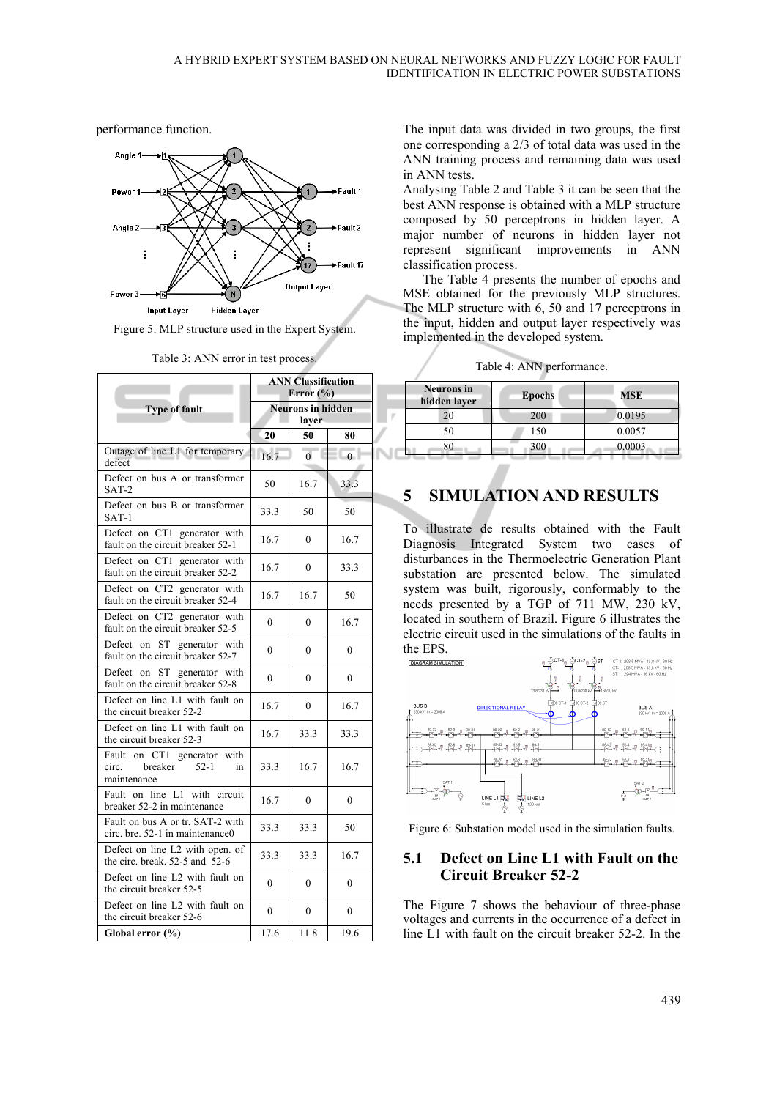performance function.



Figure 5: MLP structure used in the Expert System.

|                                                                                | <b>ANN Classification</b><br>Error $(\% )$ |                  |                  |  |
|--------------------------------------------------------------------------------|--------------------------------------------|------------------|------------------|--|
| <b>Type of fault</b>                                                           | <b>Neurons in hidden</b>                   |                  |                  |  |
|                                                                                | layer                                      |                  |                  |  |
|                                                                                | 20                                         | 50               | 80               |  |
| Outage of line L1 for temporary<br>defect                                      | 16.7                                       | $\overline{0}$   | $\theta$         |  |
| Defect on bus A or transformer<br>$SAT-2$                                      | 50                                         | 16.7             | 33.3             |  |
| Defect on bus B or transformer<br>$SAT-1$                                      | 33.3                                       | 50               | 50               |  |
| Defect on CT1 generator with<br>fault on the circuit breaker 52-1              | 16.7                                       | $\theta$         | 16.7             |  |
| Defect on CT1 generator with<br>fault on the circuit breaker 52-2              | 16.7                                       | $\boldsymbol{0}$ | 33.3             |  |
| Defect on CT2 generator with<br>fault on the circuit breaker 52-4              | 16.7                                       | 16.7             | 50               |  |
| Defect on CT2 generator with<br>fault on the circuit breaker 52-5              | $\theta$                                   | $\theta$         | 16.7             |  |
| on<br>Defect<br>ST generator with<br>fault on the circuit breaker 52-7         | $\theta$                                   | $\boldsymbol{0}$ | $\boldsymbol{0}$ |  |
| Defect on ST generator with<br>fault on the circuit breaker 52-8               | $\theta$                                   | $\theta$         | $\theta$         |  |
| Defect on line L1 with fault on<br>the circuit breaker 52-2                    | 16.7                                       | $\theta$         | 16.7             |  |
| Defect on line L1 with fault on<br>the circuit breaker 52-3                    | 16.7                                       | 33.3             | 33.3             |  |
| Fault on CT1 generator with<br>breaker<br>circ.<br>$52-1$<br>in<br>maintenance | 33.3                                       | 16.7             | 16.7             |  |
| Fault on line L1 with circuit<br>breaker 52-2 in maintenance                   | 16.7                                       | $\overline{0}$   | $\theta$         |  |
| Fault on bus A or tr. SAT-2 with<br>circ. bre. 52-1 in maintenance0            | 33.3                                       | 33.3             | 50               |  |
| Defect on line L2 with open, of<br>the circ. break. 52-5 and 52-6              | 33.3                                       | 33.3             | 16.7             |  |
| Defect on line L2 with fault on<br>the circuit breaker 52-5                    | $\theta$                                   | $\theta$         | $\theta$         |  |
| Defect on line L2 with fault on<br>the circuit breaker 52-6                    | $\theta$                                   | $\theta$         | $\theta$         |  |
| Global error (%)                                                               | 17.6                                       | 11.8             | 19.6             |  |

Table 3: ANN error in test process.

The input data was divided in two groups, the first one corresponding a 2/3 of total data was used in the ANN training process and remaining data was used in ANN tests.

Analysing Table 2 and Table 3 it can be seen that the best ANN response is obtained with a MLP structure composed by 50 perceptrons in hidden layer. A major number of neurons in hidden layer not represent significant improvements in ANN classification process.

The Table 4 presents the number of epochs and MSE obtained for the previously MLP structures. The MLP structure with 6, 50 and 17 perceptrons in the input, hidden and output layer respectively was implemented in the developed system.

Table 4: ANN performance.

| <b>Neurons</b> in<br>hidden layer | <b>Epochs</b> | MSE    |
|-----------------------------------|---------------|--------|
| 20                                | 200           | 0.0195 |
| 50                                | 150           | 0.0057 |
| 80                                | 300           | 0.0003 |

### **5 SIMULATION AND RESULTS**

To illustrate de results obtained with the Fault Diagnosis Integrated System two cases of disturbances in the Thermoelectric Generation Plant substation are presented below. The simulated system was built, rigorously, conformably to the needs presented by a TGP of 711 MW, 230 kV, located in southern of Brazil. Figure 6 illustrates the electric circuit used in the simulations of the faults in



Figure 6: Substation model used in the simulation faults.

#### **5.1 Defect on Line L1 with Fault on the Circuit Breaker 52-2**

The Figure 7 shows the behaviour of three-phase voltages and currents in the occurrence of a defect in line L1 with fault on the circuit breaker 52-2. In the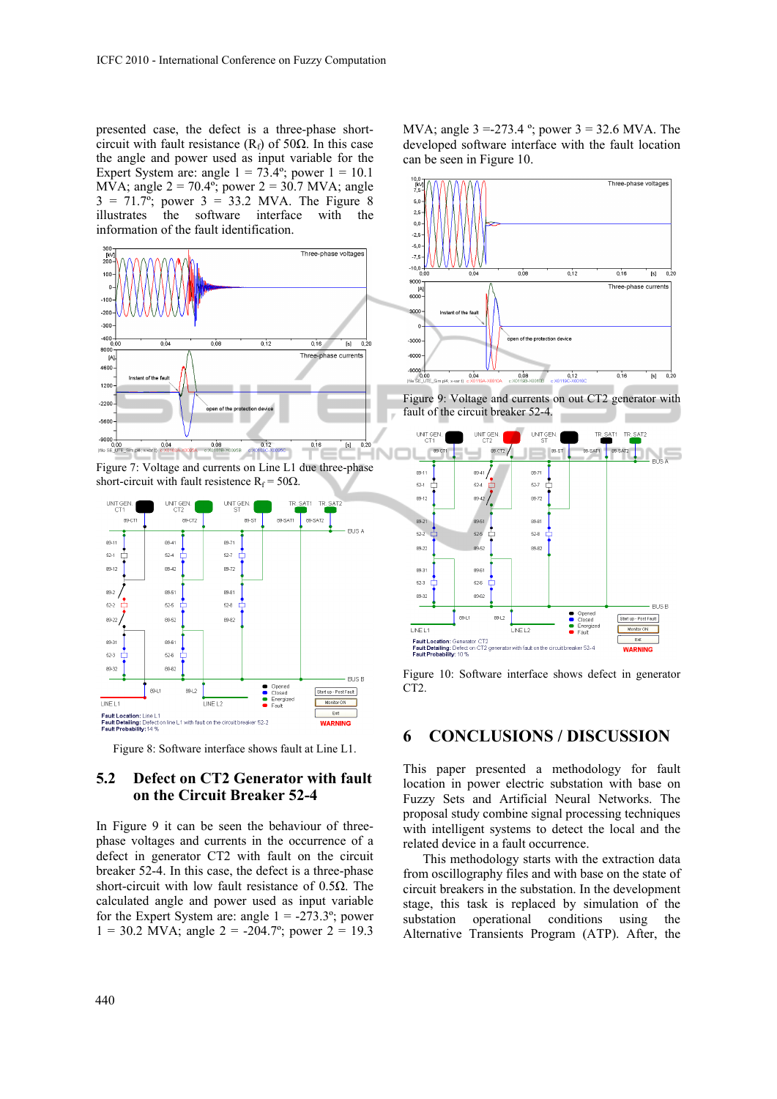presented case, the defect is a three-phase shortcircuit with fault resistance ( $R_f$ ) of 50 $\Omega$ . In this case the angle and power used as input variable for the Expert System are: angle  $1 = 73.4$ °; power  $1 = 10.1$ MVA; angle  $2 = 70.4^{\circ}$ ; power  $2 = 30.7$  MVA; angle  $3 = 71.7^{\circ}$ ; power  $3 = 33.2$  MVA. The Figure 8 illustrates the software interface with the information of the fault identification.



Figure 7: Voltage and currents on Line L1 due three-phase short-circuit with fault resistence  $R_f = 50\Omega$ .



Figure 8: Software interface shows fault at Line L1.

#### **5.2 Defect on CT2 Generator with fault on the Circuit Breaker 52-4**

In Figure 9 it can be seen the behaviour of threephase voltages and currents in the occurrence of a defect in generator CT2 with fault on the circuit breaker 52-4. In this case, the defect is a three-phase short-circuit with low fault resistance of  $0.5\Omega$ . The calculated angle and power used as input variable for the Expert System are: angle  $1 = -273.3^{\circ}$ ; power  $1 = 30.2$  MVA; angle  $2 = -204.7^{\circ}$ ; power  $2 = 19.3$ 

MVA; angle 3 =-273.4 º; power 3 = 32.6 MVA. The developed software interface with the fault location can be seen in Figure 10.



Figure 9: Voltage and currents on out CT2 generator with fault of the circuit breaker 52-4.



Figure 10: Software interface shows defect in generator CT2.

#### **6 CONCLUSIONS / DISCUSSION**

This paper presented a methodology for fault location in power electric substation with base on Fuzzy Sets and Artificial Neural Networks. The proposal study combine signal processing techniques with intelligent systems to detect the local and the related device in a fault occurrence.

This methodology starts with the extraction data from oscillography files and with base on the state of circuit breakers in the substation. In the development stage, this task is replaced by simulation of the substation operational conditions using the Alternative Transients Program (ATP). After, the